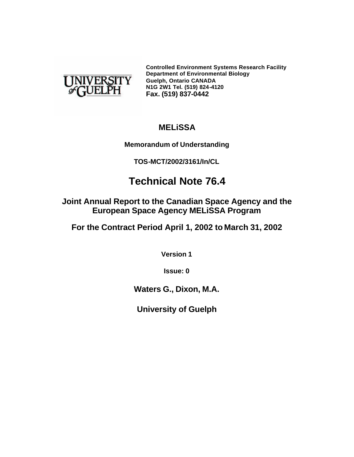

**Controlled Environment Systems Research Facility Department of Environmental Biology Guelph, Ontario CANADA N1G 2W1 Tel. (519) 824-4120 Fax. (519) 837-0442**

# **MELiSSA**

**Memorandum of Understanding**

**TOS-MCT/2002/3161/In/CL**

# **Technical Note 76.4**

**Joint Annual Report to the Canadian Space Agency and the European Space Agency MELiSSA Program**

**For the Contract Period April 1, 2002 to March 31, 2002**

**Version 1**

**Issue: 0**

**Waters G., Dixon, M.A.**

**University of Guelph**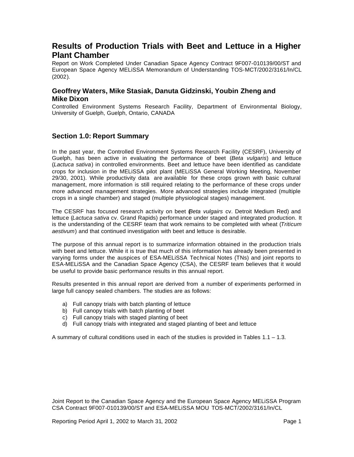# **Results of Production Trials with Beet and Lettuce in a Higher Plant Chamber**

Report on Work Completed Under Canadian Space Agency Contract 9F007-010139/00/ST and European Space Agency MELiSSA Memorandum of Understanding TOS-MCT/2002/3161/In/CL (2002).

# **Geoffrey Waters, Mike Stasiak, Danuta Gidzinski, Youbin Zheng and Mike Dixon**

Controlled Environment Systems Research Facility, Department of Environmental Biology, University of Guelph, Guelph, Ontario, CANADA

# **Section 1.0: Report Summary**

In the past year, the Controlled Environment Systems Research Facility (CESRF), University of Guelph, has been active in evaluating the performance of beet (*Beta vulgaris*) and lettuce (*Lactuca sativa*) in controlled environments. Beet and lettuce have been identified as candidate crops for inclusion in the MELiSSA pilot plant (MELiSSA General Working Meeting, November 29/30, 2001). While productivity data are available for these crops grown with basic cultural management, more information is still required relating to the performance of these crops under more advanced management strategies. More advanced strategies include integrated (multiple crops in a single chamber) and staged (multiple physiological stages) management.

The CESRF has focused research activity on beet (*Beta vulgairs* cv. Detroit Medium Red) and lettuce (*Lactuca sativa* cv. Grand Rapids) performance under staged and integrated production. It is the understanding of the CESRF team that work remains to be completed with wheat (*Triticum aestivum*) and that continued investigation with beet and lettuce is desirable.

The purpose of this annual report is to summarize information obtained in the production trials with beet and lettuce. While it is true that much of this information has already been presented in varying forms under the auspices of ESA-MELiSSA Technical Notes (TNs) and joint reports to ESA-MELiSSA and the Canadian Space Agency (CSA), the CESRF team believes that it would be useful to provide basic performance results in this annual report.

Results presented in this annual report are derived from a number of experiments performed in large full canopy sealed chambers. The studies are as follows:

- a) Full canopy trials with batch planting of lettuce
- b) Full canopy trials with batch planting of beet
- c) Full canopy trials with staged planting of beet
- d) Full canopy trials with integrated and staged planting of beet and lettuce

A summary of cultural conditions used in each of the studies is provided in Tables  $1.1 - 1.3$ .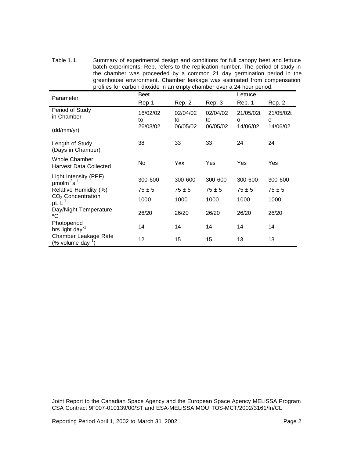Table 1.1. Summary of experimental design and conditions for full canopy beet and lettuce batch experiments. Rep. refers to the replication number. The period of study in the chamber was proceeded by a common 21 day germination period in the greenhouse environment. Chamber leakage was estimated from compensation profiles for carbon dioxide in an empty chamber over a 24 hour period.

| Parameter                                                | <b>Beet</b><br>Lettuce |                |                |                |                |
|----------------------------------------------------------|------------------------|----------------|----------------|----------------|----------------|
|                                                          | Rep.1                  | Rep. 2         | Rep. 3         | Rep. 1         | Rep. 2         |
| Period of Study<br>in Chamber                            | 16/02/02<br>to         | 02/04/02<br>to | 02/04/02<br>to | 21/05/02t<br>0 | 21/05/02t<br>o |
| (dd/mm/yr)                                               | 26/03/02               | 06/05/02       | 06/05/02       | 14/06/02       | 14/06/02       |
| Length of Study<br>(Days in Chamber)                     | 38                     | 33             | 33             | 24             | 24             |
| <b>Whole Chamber</b><br><b>Harvest Data Collected</b>    | No                     | Yes            | Yes            | Yes            | Yes            |
| Light Intensity (PPF)<br>$\mu$ molm $3s^{-1}$            | 300-600                | 300-600        | 300-600        | 300-600        | 300-600        |
| Relative Humidity (%)                                    | $75 + 5$               | $75 + 5$       | $75 \pm 5$     | $75 \pm 5$     | $75 \pm 5$     |
| CO <sub>2</sub> Concentration<br>$\mu$ L L <sup>-1</sup> | 1000                   | 1000           | 1000           | 1000           | 1000           |
| Day/Night Temperature<br>٥C                              | 26/20                  | 26/20          | 26/20          | 26/20          | 26/20          |
| Photoperiod<br>hrs light day <sup>-1</sup>               | 14                     | 14             | 14             | 14             | 14             |
| Chamber Leakage Rate<br>(% volume day $\frac{1}{2}$ )    | 12                     | 15             | 15             | 13             | 13             |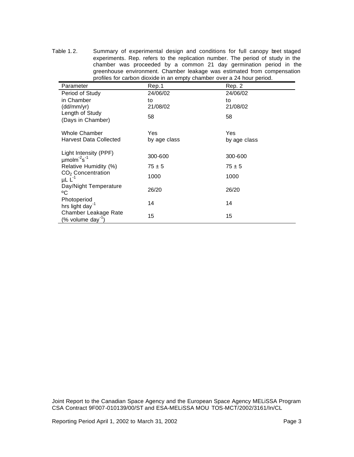Table 1.2. Summary of experimental design and conditions for full canopy beet staged experiments. Rep. refers to the replication number. The period of study in the chamber was proceeded by a common 21 day germination period in the greenhouse environment. Chamber leakage was estimated from compensation profiles for carbon dioxide in an empty chamber over a 24 hour period.

| Parameter                                     | Rep.1        | Rep. 2       |
|-----------------------------------------------|--------------|--------------|
| Period of Study                               | 24/06/02     | 24/06/02     |
| in Chamber                                    | to           | to           |
| (dd/mm/yr)                                    | 21/08/02     | 21/08/02     |
| Length of Study                               | 58           | 58           |
| (Days in Chamber)                             |              |              |
| Whole Chamber                                 | Yes          | Yes          |
| <b>Harvest Data Collected</b>                 | by age class | by age class |
|                                               |              |              |
| Light Intensity (PPF)<br>$\mu$ molm $3s^{-1}$ | 300-600      | 300-600      |
| Relative Humidity (%)                         | $75 \pm 5$   | $75 \pm 5$   |
| $CO2$ Concentration                           |              |              |
| $\mu$ L L <sup>-1</sup>                       | 1000         | 1000         |
| Day/Night Temperature                         | 26/20        | 26/20        |
| °C                                            |              |              |
| Photoperiod                                   | 14           | 14           |
| hrs light day <sup>-1</sup>                   |              |              |
| Chamber Leakage Rate                          | 15           | 15           |
| (% volume day                                 |              |              |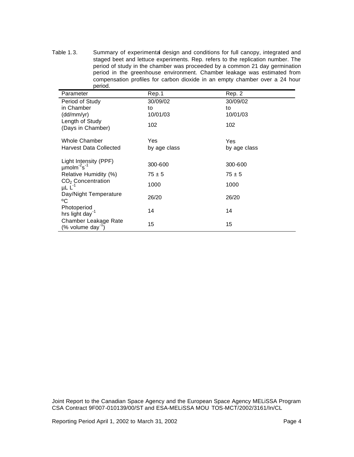Table 1.3. Summary of experimental design and conditions for full canopy, integrated and staged beet and lettuce experiments. Rep. refers to the replication number. The period of study in the chamber was proceeded by a common 21 day germination period in the greenhouse environment. Chamber leakage was estimated from compensation profiles for carbon dioxide in an empty chamber over a 24 hour period.

| Parameter                                      | Rep.1        | Rep. 2       |
|------------------------------------------------|--------------|--------------|
| Period of Study                                | 30/09/02     | 30/09/02     |
| in Chamber                                     | to           | to           |
| (dd/mm/yr)                                     | 10/01/03     | 10/01/03     |
| Length of Study                                | 102          | 102          |
| (Days in Chamber)                              |              |              |
|                                                |              |              |
| Whole Chamber                                  | Yes          | Yes          |
| <b>Harvest Data Collected</b>                  | by age class | by age class |
|                                                |              |              |
| Light Intensity (PPF)                          | 300-600      | 300-600      |
| $\mu$ molm $^{-2}$ s <sup>-1</sup>             |              |              |
| Relative Humidity (%)                          | $75 \pm 5$   | $75 \pm 5$   |
| $CO2$ Concentration<br>$\mu$ L L <sup>-1</sup> | 1000         | 1000         |
|                                                |              |              |
| Day/Night Temperature<br>°C                    | 26/20        | 26/20        |
| Photoperiod                                    |              |              |
| hrs light day <sup>-1</sup>                    | 14           | 14           |
| Chamber Leakage Rate                           |              |              |
| $%$ volume day <sup>-1</sup> )                 | 15           | 15           |
|                                                |              |              |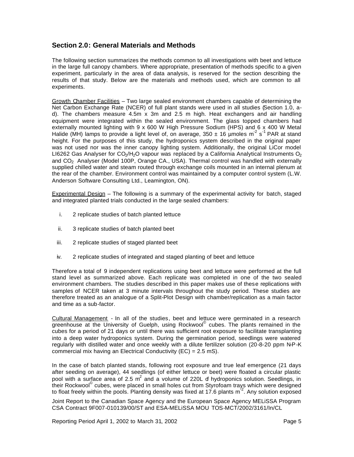# **Section 2.0: General Materials and Methods**

The following section summarizes the methods common to all investigations with beet and lettuce in the large full canopy chambers. Where appropriate, presentation of methods specific to a given experiment, particularly in the area of data analysis, is reserved for the section describing the results of that study. Below are the materials and methods used, which are common to all experiments.

Growth Chamber Facilities – Two large sealed environment chambers capable of determining the Net Carbon Exchange Rate (NCER) of full plant stands were used in all studies (Section 1.0, ad). The chambers measure 4.5m x 3m and 2.5 m high. Heat exchangers and air handling equipment were integrated within the sealed environment. The glass topped chambers had externally mounted lighting with 9 x 600 W High Pressure Sodium (HPS) and 6 x 400 W Metal Halide (MH) lamps to provide a light level of, on average, 350  $\pm$  16 umoles m<sup>-2</sup> s<sup>-1</sup> PAR at stand height. For the purposes of this study, the hydroponics system described in the original paper was not used nor was the inner canopy lighting system. Additionally, the original LiCor model LI6262 Gas Analyser for CO<sub>2</sub>/H<sub>2</sub>O vapour was replaced by a California Analytical Instruments O<sub>2</sub> and  $CO<sub>2</sub>$  Analyser (Model 100P, Orange CA., USA). Thermal control was handled with externally supplied chilled water and steam routed through exchange coils mounted in an internal plenum at the rear of the chamber. Environment control was maintained by a computer control system (L.W. Anderson Software Consulting Ltd., Leamington, ON).

Experimental Design – The following is a summary of the experimental activity for batch, staged and integrated planted trials conducted in the large sealed chambers:

- i. 2 replicate studies of batch planted lettuce
- ii. 3 replicate studies of batch planted beet
- iii. 2 replicate studies of staged planted beet
- iv. 2 replicate studies of integrated and staged planting of beet and lettuce

Therefore a total of 9 independent replications using beet and lettuce were performed at the full stand level as summarized above. Each replicate was completed in one of the two sealed environment chambers. The studies described in this paper makes use of these replications with samples of NCER taken at 3 minute intervals throughout the study period. These studies are therefore treated as an analogue of a Split-Plot Design with chamber/replication as a main factor and time as a sub-factor.

Cultural Management - In all of the studies, beet and lettuce were germinated in a research greenhouse at the University of Guelph, using Rockwool<sup>©</sup> cubes. The plants remained in the cubes for a period of 21 days or until there was sufficient root exposure to facilitate transplanting into a deep water hydroponics system. During the germination period, seedlings were watered regularly with distilled water and once weekly with a dilute fertilizer solution (20-8-20 ppm N-P-K commercial mix having an Electrical Conductivity (EC) = 2.5 mS).

In the case of batch planted stands, following root exposure and true leaf emergence (21 days after seeding on average), 44 seedlings (of either lettuce or beet) were floated a circular plastic pool with a surface area of 2.5  $m^2$  and a volume of 220L of hydroponics solution. Seedlings, in .<br>their Rockwool<sup>©</sup> cubes, were placed in small holes cut from Styrofoam trays which were designed to float freely within the pools. Planting density was fixed at 17.6 plants m<sup>-2</sup>. Any solution exposed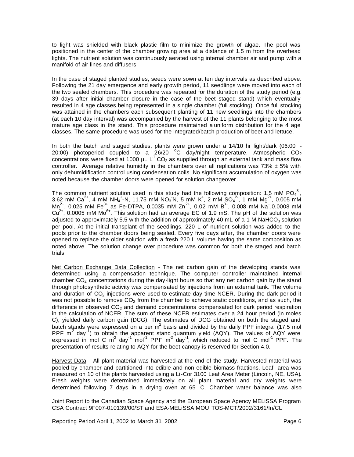to light was shielded with black plastic film to minimize the growth of algae. The pool was positioned in the center of the chamber growing area at a distance of 1.5 m from the overhead lights. The nutrient solution was continuously aerated using internal chamber air and pump with a manifold of air lines and diffusers.

In the case of staged planted studies, seeds were sown at ten day intervals as described above. Following the 21 day emergence and early growth period, 11 seedlings were moved into each of the two sealed chambers. This procedure was repeated for the duration of the study period (e.g. 39 days after initial chamber closure in the case of the beet staged stand) which eventually resulted in 4 age classes being represented in a single chamber (full stocking). Once full stocking was attained in the chambers each subsequent planting of 11 new seedlings into the chambers (at each 10 day interval) was accompanied by the harvest of the 11 plants belonging to the most mature age class in the stand. This procedure maintained a uniform distribution for the 4 age classes. The same procedure was used for the integrated/batch production of beet and lettuce.

In both the batch and staged studies, plants were grown under a 14/10 hr light/dark (06:00 - 20:00) photoperiod coupled to a 26/20  $^{\circ}$ C day/night temperature. Atmospheric CO<sub>2</sub> concentrations were fixed at 1000  $\mu$ L L<sup>1</sup> CO<sub>2</sub> as supplied through an external tank and mass flow controller. Average relative humidity in the chambers over all replications was 73%  $\pm$  5% with only dehumidification control using condensation coils. No significant accumulation of oxygen was noted because the chamber doors were opened for solution changeover.

The common nutrient solution used in this study had the following composition: 1.5 mM PO<sub>4</sub><sup>3</sup> , 3.62 mM Ca<sup>2+</sup>, 4 mM NH<sub>4</sub><sup>+</sup>-N, 11.75 mM NO<sub>3</sub>N, 5 mM K<sup>+</sup>, 2 mM SO<sub>4</sub><sup>2-</sup>, 1 mM Mg<sup>2+</sup>, 0.005 mM Mn<sup>2+</sup>, 0.025 mM Fe<sup>3+</sup> as Fe-DTPA, 0.0035 mM Zn<sup>2+</sup>, 0.02 mM B<sup>3+</sup>, 0.008 mM Na<sup>+</sup>,0.0008 mM  $Cu^{2+}$ , 0.0005 mM Mo<sup>6+</sup>. This solution had an average EC of 1.9 mS. The pH of the solution was adjusted to approximately 5.5 with the addition of approximately 40 mL of a 1 M NaHCO<sub>3</sub> solution per pool. At the initial transplant of the seedlings, 220 L of nutrient solution was added to the pools prior to the chamber doors being sealed. Every five days after, the chamber doors were opened to replace the older solution with a fresh 220 L volume having the same composition as noted above. The solution change over procedure was common for both the staged and batch trials.

Net Carbon Exchange Data Collection - The net carbon gain of the developing stands was determined using a compensation technique. The computer controller maintained internal chamber  $CO<sub>2</sub>$  concentrations during the day-light hours so that any net carbon gain by the stand through photosynthetic activity was compensated by injections from an external tank. The volume and duration of  $CO<sub>2</sub>$  injections were used to estimate day time NCER. During the dark period it was not possible to remove  $CO<sub>2</sub>$  from the chamber to achieve static conditions, and as such, the difference in observed  $CO<sub>2</sub>$  and demand concentrations compensated for dark period respiration in the calculation of NCER. The sum of these NCER estimates over a 24 hour period (in moles C), yielded daily carbon gain (DCG). The estimates of DCG obtained on both the staged and batch stands were expressed on a per  $m^2$  basis and divided by the daily PPF integral (17.5 mol PPF  $m^2$  day<sup>-1</sup>) to obtain the apparent stand quantum yield (AQY). The values of AQY were expressed in mol C m<sup>2</sup> day<sup>-1</sup> mol<sup>-1</sup> PPF m<sup>2</sup> day<sup>-1</sup>, which reduced to mol C mol<sup>-1</sup> PPF. The presentation of results relating to AQY for the beet canopy is reserved for Section 4.0.

Harvest Data – All plant material was harvested at the end of the study. Harvested material was pooled by chamber and partitioned into edible and non-edible biomass fractions. Leaf area was measured on 10 of the plants harvested using a Li-Cor 3100 Leaf Area Meter (Lincoln, NE, USA). Fresh weights were determined immediately on all plant material and dry weights were determined following 7 days in a drying oven at 65 <sup>º</sup>C. Chamber water balance was also

Joint Report to the Canadian Space Agency and the European Space Agency MELiSSA Program CSA Contract 9F007-010139/00/ST and ESA-MELiSSA MOU TOS-MCT/2002/3161/In/CL

Reporting Period April 1, 2002 to March 31, 2002 **Page 6** Page 6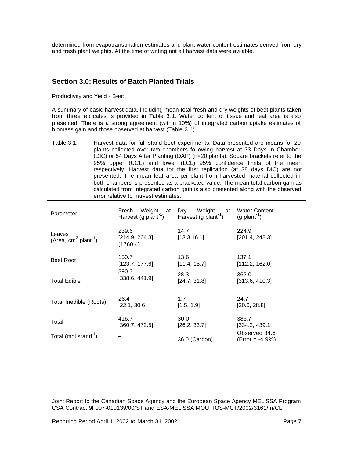determined from evapotranspiration estimates and plant water content estimates derived from dry and fresh plant weights. At the time of writing not all harvest data were avilable.

# **Section 3.0: Results of Batch Planted Trials**

### Productivity and Yield - Beet

A summary of basic harvest data, including mean total fresh and dry weights of beet plants taken from three eplicates is provided in Table 3.1. Water content of tissue and leaf area is also presented. There is a strong agreement (within 10%) of integrated carbon uptake estimates of biomass gain and those observed at harvest (Table 3.1).

Table 3.1. Harvest data for full stand beet experiments. Data presented are means for 20 plants collected over two chambers following harvest at 33 Days In Chamber (DIC) or 54 Days After Planting (DAP) (n=20 plants). Square brackets refer to the 95% upper (UCL) and lower (LCL) 95% confidence limits of the mean respectively. Harvest data for the first replication (at 38 days DIC) are not presented. The mean leaf area per plant from harvested material collected in both chambers is presented as a bracketed value. The mean total carbon gain as calculated from integrated carbon gain is also presented along with the observed error relative to harvest estimates.

| Parameter                                    | Weight<br>Fresh<br>at<br>Harvest (g plant <sup>-1</sup> ) | Weight<br>Dry<br>at<br>Harvest (g plant <sup>-1</sup> ) | <b>Water Content</b><br>$(g$ plant <sup>-1</sup> ) |
|----------------------------------------------|-----------------------------------------------------------|---------------------------------------------------------|----------------------------------------------------|
| Leaves<br>(Area, $cm2$ plant <sup>-1</sup> ) | 239.6<br>[214.9, 264.3]<br>(1760.4)                       | 14.7<br>[13.3, 16.1]                                    | 224.9<br>[201.4, 248.3]                            |
| <b>Beet Root</b>                             | 150.7                                                     | 13.6                                                    | 137.1                                              |
|                                              | [123.7, 177.6]                                            | [11.4, 15.7]                                            | [112.2, 162.0]                                     |
| <b>Total Edible</b>                          | 390.3                                                     | 28.3                                                    | 362.0                                              |
|                                              | [338.6, 441.9]                                            | [24.7, 31.8]                                            | [313.6, 410.3]                                     |
| Total Inedible (Roots)                       | 26.4                                                      | 1.7                                                     | 24.7                                               |
|                                              | [22.1, 30.6]                                              | [1.5, 1.9]                                              | [20.6, 28.8]                                       |
| Total                                        | 416.7                                                     | 30.0                                                    | 386.7                                              |
|                                              | [360.7, 472.5]                                            | [26.2, 33.7]                                            | [334.2, 439.1]                                     |
| Total (mol stand <sup>1</sup> )              |                                                           | 36.0 (Carbon)                                           | Observed 34.6<br>$(Error = -4.9\%)$                |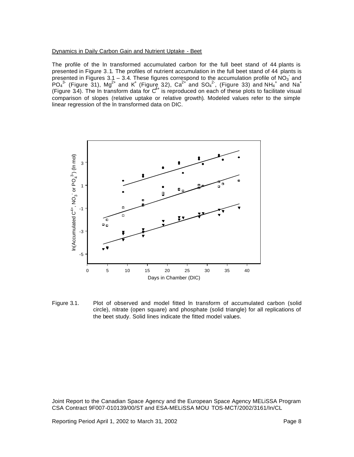#### Dynamics in Daily Carbon Gain and Nutrient Uptake - Beet

The profile of the ln transformed accumulated carbon for the full beet stand of 44 plants is presented in Figure 3.1. The profiles of nutrient accumulation in the full beet stand of 44 plants is presented in Figures 3.1 – 3.4. These figures correspond to the accumulation profile of NO<sub>3</sub> and  $\overline{PO_4}^{3}$  (Figure 31), Mg<sup>2+</sup> and K<sup>+</sup> (Figure 32), Ca<sup>2+'</sup> and SO<sub>4</sub><sup>2-</sup>, (Figure 33) and NH<sub>4</sub><sup>+</sup> and Na<sup>+</sup> (Figure 34). The In transform data for  $C^{4+}$  is reproduced on each of these plots to facilitate visual comparison of slopes (relative uptake or relative growth). Modeled values refer to the simple linear regression of the ln transformed data on DIC.



Figure 3.1. Plot of observed and model fitted ln transform of accumulated carbon (solid circle), nitrate (open square) and phosphate (solid triangle) for all replications of the beet study. Solid lines indicate the fitted model values.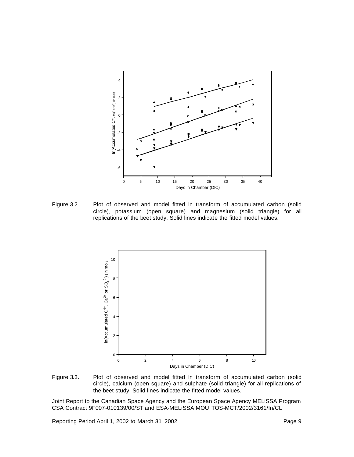

Figure 3.2. Plot of observed and model fitted ln transform of accumulated carbon (solid circle), potassium (open square) and magnesium (solid triangle) for all replications of the beet study. Solid lines indicate the fitted model values.



Figure 3.3. Plot of observed and model fitted ln transform of accumulated carbon (solid circle), calcium (open square) and sulphate (solid triangle) for all replications of the beet study. Solid lines indicate the fitted model values.

Reporting Period April 1, 2002 to March 31, 2002 Page 9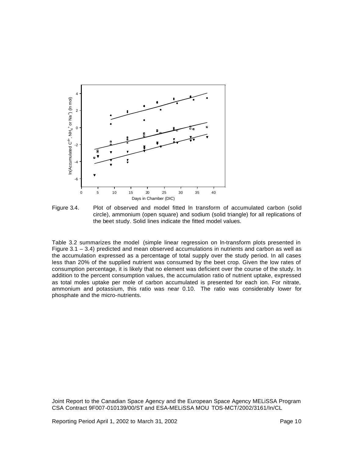

Figure 3.4. Plot of observed and model fitted ln transform of accumulated carbon (solid circle), ammonium (open square) and sodium (solid triangle) for all replications of the beet study. Solid lines indicate the fitted model values.

Table 3.2 summarizes the model (simple linear regression on ln-transform plots presented in Figure 3.1 – 3.4) predicted and mean observed accumulations in nutrients and carbon as well as the accumulation expressed as a percentage of total supply over the study period. In all cases less than 20% of the supplied nutrient was consumed by the beet crop. Given the low rates of consumption percentage, it is likely that no element was deficient over the course of the study. In addition to the percent consumption values, the accumulation ratio of nutrient uptake, expressed as total moles uptake per mole of carbon accumulated is presented for each ion. For nitrate, ammonium and potassium, this ratio was near 0.10. The ratio was considerably lower for phosphate and the micro-nutrients.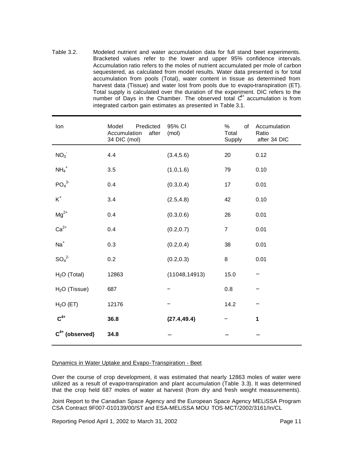Table 3.2. Modeled nutrient and water accumulation data for full stand beet experiments. Bracketed values refer to the lower and upper 95% confidence intervals. Accumulation ratio refers to the moles of nutrient accumulated per mole of carbon sequestered, as calculated from model results. Water data presented is for total accumulation from pools (Total), water content in tissue as determined from harvest data (Tissue) and water lost from pools due to evapo-transpiration (ET). Total supply is calculated over the duration of the experiment. DIC refers to the number of Days in the Chamber. The observed total  $C^+$  accumulation is from integrated carbon gain estimates as presented in Table 3.1.

| Ion                          | Predicted<br>Model<br>Accumulation<br>after<br>34 DIC (mol) | 95% CI<br>(mol) | $\%$<br>of<br>Total<br>Supply | Accumulation<br>Ratio<br>after 34 DIC |
|------------------------------|-------------------------------------------------------------|-----------------|-------------------------------|---------------------------------------|
| NO <sub>3</sub>              | 4.4                                                         | (3.4, 5.6)      | 20                            | 0.12                                  |
| $NH_4$ <sup>+</sup>          | 3.5                                                         | (1.0, 1.6)      | 79                            | 0.10                                  |
| PO <sub>4</sub> <sup>3</sup> | 0.4                                                         | (0.3, 0.4)      | 17                            | 0.01                                  |
| $\mbox{\sf K}^+$             | 3.4                                                         | (2.5, 4.8)      | 42                            | 0.10                                  |
| $Mg^{2+}$                    | 0.4                                                         | (0.3, 0.6)      | 26                            | 0.01                                  |
| $Ca2+$                       | 0.4                                                         | (0.2, 0.7)      | $\overline{7}$                | 0.01                                  |
| $Na+$                        | 0.3                                                         | (0.2, 0.4)      | 38                            | 0.01                                  |
| $SO_4^2$                     | 0.2                                                         | (0.2, 0.3)      | 8                             | 0.01                                  |
| $H2O$ (Total)                | 12863                                                       | (11048, 14913)  | 15.0                          |                                       |
| $H2O$ (Tissue)               | 687                                                         |                 | 0.8                           |                                       |
| $H2O$ (ET)                   | 12176                                                       |                 | 14.2                          |                                       |
| $C^{4+}$                     | 36.8                                                        | (27.4, 49.4)    |                               | 1                                     |
| $C^{4+}$ (observed)          | 34.8                                                        |                 |                               |                                       |

#### Dynamics in Water Uptake and Evapo-Transpiration - Beet

Over the course of crop development, it was estimated that nearly 12863 moles of water were utilized as a result of evapo-transpiration and plant accumulation (Table 3.3). It was determined that the crop held 687 moles of water at harvest (from dry and fresh weight measurements).

Joint Report to the Canadian Space Agency and the European Space Agency MELiSSA Program CSA Contract 9F007-010139/00/ST and ESA-MELiSSA MOU TOS-MCT/2002/3161/In/CL

Reporting Period April 1, 2002 to March 31, 2002 Page 11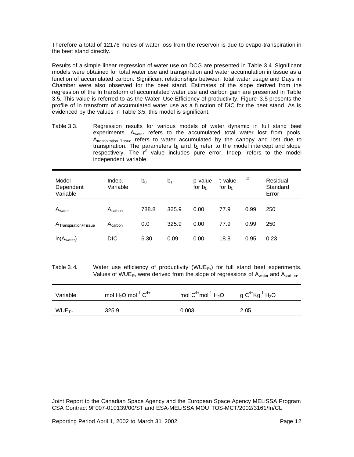Therefore a total of 12176 moles of water loss from the reservoir is due to evapo-transpiration in the beet stand directly.

Results of a simple linear regression of water use on DCG are presented in Table 3.4. Significant models were obtained for total water use and transpiration and water accumulation in tissue as a function of accumulated carbon. Significant relationships between total water usage and Days in Chamber were also observed for the beet stand. Estimates of the slope derived from the regression of the ln transform of accumulated water use and carbon gain are presented in Table 3.5. This value is referred to as the Water Use Efficiency of productivity. Figure 3.5 presents the profile of ln transform of accumulated water use as a function of DIC for the beet stand. As is evidenced by the values in Table 3.5, this model is significant.

Table 3.3. Regression results for various models of water dynamic in full stand beet experiments. A<sub>water</sub> refers to the accumulated total water lost from pools,  $A_{\text{transnointation+Tissue}}$  refers to water accumulated by the canopy and lost due to transpiration. The parameters  $b_0$  and  $b_1$  refer to the model intercept and slope respectively. The  $r^2$  value includes pure error. Indep. refers to the model independent variable.

| Model<br>Dependent<br>Variable    | Indep.<br>Variable  | $b_0$ | b <sub>1</sub> | p-value<br>for $b_1$ | t-value<br>for $b_1$ | $r^2$ | Residual<br>Standard<br>Error |
|-----------------------------------|---------------------|-------|----------------|----------------------|----------------------|-------|-------------------------------|
| A <sub>water</sub>                | A <sub>carbon</sub> | 788.8 | 325.9          | 0.00                 | 77.9                 | 0.99  | 250                           |
| A <sub>Transpiration+Tissue</sub> | A <sub>carbon</sub> | 0.0   | 325.9          | 0.00                 | 77.9                 | 0.99  | 250                           |
| In(A <sub>water</sub> )           | DIC                 | 6.30  | 0.09           | 0.00                 | 18.8                 | 0.95  | 0.23                          |

Table 3.4. Water use efficiency of productivity (WUE<sub>Pr</sub>) for full stand beet experiments. Values of WUE<sub>Pr</sub> were derived from the slope of regressions of  $A<sub>water</sub>$  and  $A<sub>carbon</sub>$ .

| Variable          | mol H <sub>2</sub> O mol <sup>-1</sup> $C^{4+}$ | mol $C^{4+}$ mol <sup>-1</sup> H <sub>2</sub> O | g C <sup>4+</sup> Kg <sup>-1</sup> H <sub>2</sub> O |
|-------------------|-------------------------------------------------|-------------------------------------------------|-----------------------------------------------------|
| WUE <sub>Pr</sub> | 325.9                                           | 0.003                                           | 2.05                                                |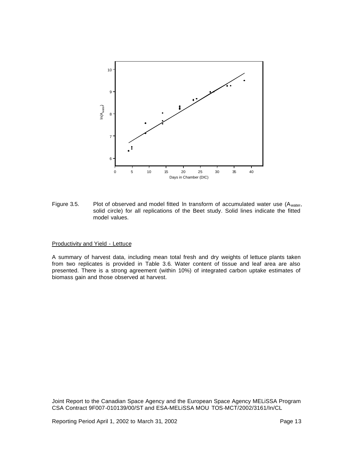

Figure 3.5. Plot of observed and model fitted In transform of accumulated water use  $(A<sub>water</sub>,$ solid circle) for all replications of the Beet study. Solid lines indicate the fitted model values.

#### **Productivity and Yield - Lettuce**

A summary of harvest data, including mean total fresh and dry weights of lettuce plants taken from two replicates is provided in Table 3.6. Water content of tissue and leaf area are also presented. There is a strong agreement (within 10%) of integrated carbon uptake estimates of biomass gain and those observed at harvest.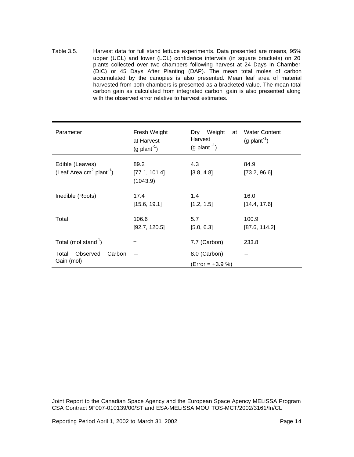Table 3.5. Harvest data for full stand lettuce experiments. Data presented are means, 95% upper (UCL) and lower (LCL) confidence intervals (in square brackets) on 20 plants collected over two chambers following harvest at 24 Days In Chamber (DIC) or 45 Days After Planting (DAP). The mean total moles of carbon accumulated by the canopies is also presented. Mean leaf area of material harvested from both chambers is presented as a bracketed value. The mean total carbon gain as calculated from integrated carbon gain is also presented along with the observed error relative to harvest estimates.

| Parameter                                                 | Fresh Weight<br>at Harvest<br>$(g$ plant <sup>-1</sup> ) | Weight<br>Dry<br>at<br>Harvest<br>(g plant $^{-1}$ ) | <b>Water Content</b><br>$(g$ plant <sup>-1</sup> ) |
|-----------------------------------------------------------|----------------------------------------------------------|------------------------------------------------------|----------------------------------------------------|
| Edible (Leaves)<br>(Leaf Area $cm2$ plant <sup>-1</sup> ) | 89.2<br>[77.1, 101.4]<br>(1043.9)                        | 4.3<br>[3.8, 4.8]                                    | 84.9<br>[73.2, 96.6]                               |
| Inedible (Roots)                                          | 17.4<br>[15.6, 19.1]                                     | 1.4<br>[1.2, 1.5]                                    | 16.0<br>[14.4, 17.6]                               |
| Total                                                     | 106.6<br>[92.7, 120.5]                                   | 5.7<br>[5.0, 6.3]                                    | 100.9<br>[87.6, 114.2]                             |
| Total (mol stand <sup>1</sup> )                           |                                                          | 7.7 (Carbon)                                         | 233.8                                              |
| Observed<br>Carbon<br>Total<br>Gain (mol)                 |                                                          | 8.0 (Carbon)<br>$(Error = +3.9%)$                    |                                                    |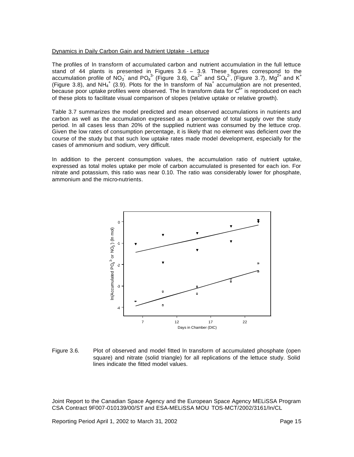#### Dynamics in Daily Carbon Gain and Nutrient Uptake - Lettuce

The profiles of ln transform of accumulated carbon and nutrient accumulation in the full lettuce stand of 44 plants is presented in Figures  $3.6 - 3.9$ . These figures correspond to the accumulation profile of NO<sub>3</sub> and PO<sub>4</sub><sup>3</sup> (Figure 3.6), Ca<sup>2+</sup> and SO<sub>4</sub><sup>2</sup>, (Figure 3.7), Mg<sup>2+</sup> and K<sup>+</sup> (Figure 3.8), and NH<sub>4</sub><sup>+</sup> (3.9). Plots for the In transform of Na<sup>+</sup> accumulation are not presented, because poor uptake profiles were observed. The In transform data for  $C^{4+}$  is reproduced on each of these plots to facilitate visual comparison of slopes (relative uptake or relative growth).

Table 3.7 summarizes the model predicted and mean observed accumulations in nutrients and carbon as well as the accumulation expressed as a percentage of total supply over the study period. In all cases less than 20% of the supplied nutrient was consumed by the lettuce crop. Given the low rates of consumption percentage, it is likely that no element was deficient over the course of the study but that such low uptake rates made model development, especially for the cases of ammonium and sodium, very difficult.

In addition to the percent consumption values, the accumulation ratio of nutrient uptake, expressed as total moles uptake per mole of carbon accumulated is presented for each ion. For nitrate and potassium, this ratio was near 0.10. The ratio was considerably lower for phosphate, ammonium and the micro-nutrients.



Figure 3.6. Plot of observed and model fitted ln transform of accumulated phosphate (open square) and nitrate (solid triangle) for all replications of the lettuce study. Solid lines indicate the fitted model values.

Joint Report to the Canadian Space Agency and the European Space Agency MELiSSA Program CSA Contract 9F007-010139/00/ST and ESA-MELiSSA MOU TOS-MCT/2002/3161/In/CL

Reporting Period April 1, 2002 to March 31, 2002 **Page 15** Page 15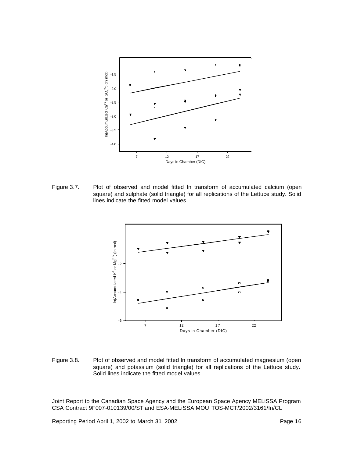

Figure 3.7. Plot of observed and model fitted ln transform of accumulated calcium (open square) and sulphate (solid triangle) for all replications of the Lettuce study. Solid lines indicate the fitted model values.



Figure 3.8. Plot of observed and model fitted ln transform of accumulated magnesium (open square) and potassium (solid triangle) for all replications of the Lettuce study. Solid lines indicate the fitted model values.

Reporting Period April 1, 2002 to March 31, 2002 Page 16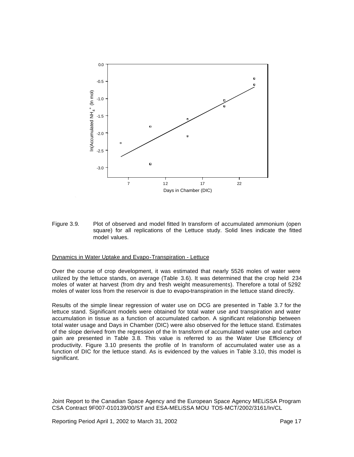

Figure 3.9. Plot of observed and model fitted ln transform of accumulated ammonium (open square) for all replications of the Lettuce study. Solid lines indicate the fitted model values.

#### Dynamics in Water Uptake and Evapo-Transpiration - Lettuce

Over the course of crop development, it was estimated that nearly 5526 moles of water were utilized by the lettuce stands, on average (Table 3.6). It was determined that the crop held 234 moles of water at harvest (from dry and fresh weight measurements). Therefore a total of 5292 moles of water loss from the reservoir is due to evapo-transpiration in the lettuce stand directly.

Results of the simple linear regression of water use on DCG are presented in Table 3.7 for the lettuce stand. Significant models were obtained for total water use and transpiration and water accumulation in tissue as a function of accumulated carbon. A significant relationship between total water usage and Days in Chamber (DIC) were also observed for the lettuce stand. Estimates of the slope derived from the regression of the ln transform of accumulated water use and carbon gain are presented in Table 3.8. This value is referred to as the Water Use Efficiency of productivity. Figure 3.10 presents the profile of ln transform of accumulated water use as a function of DIC for the lettuce stand. As is evidenced by the values in Table 3.10, this model is significant.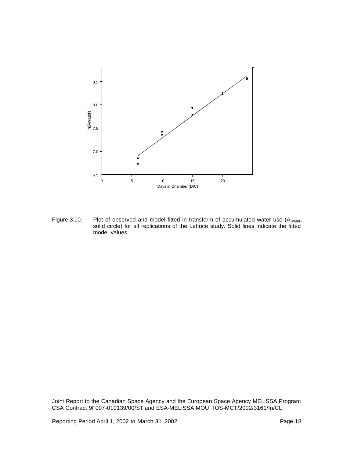

Figure 3.10. Plot of observed and model fitted In transform of accumulated water use (A<sub>water</sub>, solid circle) for all replications of the Lettuce study. Solid lines indicate the fitted model values.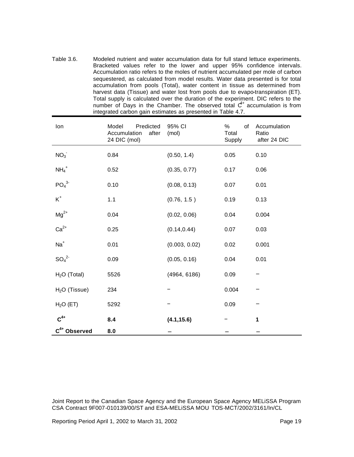Table 3.6. Modeled nutrient and water accumulation data for full stand lettuce experiments. Bracketed values refer to the lower and upper 95% confidence intervals. Accumulation ratio refers to the moles of nutrient accumulated per mole of carbon sequestered, as calculated from model results. Water data presented is for total accumulation from pools (Total), water content in tissue as determined from harvest data (Tissue) and water lost from pools due to evapo-transpiration (ET). Total supply is calculated over the duration of the experiment. DIC refers to the number of Days in the Chamber. The observed total  $C^+$  accumulation is from integrated carbon gain estimates as presented in Table 4.7.

| Ion                          | Predicted<br>Model<br>after<br>Accumulation<br>24 DIC (mol) | 95% CI<br>(mol) | ℅<br>of<br>Total<br>Supply | Accumulation<br>Ratio<br>after 24 DIC |
|------------------------------|-------------------------------------------------------------|-----------------|----------------------------|---------------------------------------|
| NO <sub>3</sub>              | 0.84                                                        | (0.50, 1.4)     | 0.05                       | 0.10                                  |
| $NH_4$ <sup>+</sup>          | 0.52                                                        | (0.35, 0.77)    | 0.17                       | 0.06                                  |
| PO <sub>4</sub> <sup>3</sup> | 0.10                                                        | (0.08, 0.13)    | 0.07                       | 0.01                                  |
| $\mathsf{K}^+$               | 1.1                                                         | (0.76, 1.5)     | 0.19                       | 0.13                                  |
| $Mg^{2+}$                    | 0.04                                                        | (0.02, 0.06)    | 0.04                       | 0.004                                 |
| $Ca2+$                       | 0.25                                                        | (0.14, 0.44)    | 0.07                       | 0.03                                  |
| $Na+$                        | 0.01                                                        | (0.003, 0.02)   | 0.02                       | 0.001                                 |
| $SO_4^2$                     | 0.09                                                        | (0.05, 0.16)    | 0.04                       | 0.01                                  |
| $H2O$ (Total)                | 5526                                                        | (4964, 6186)    | 0.09                       |                                       |
| $H2O$ (Tissue)               | 234                                                         |                 | 0.004                      |                                       |
| $H2O$ (ET)                   | 5292                                                        |                 | 0.09                       |                                       |
| $C^{4+}$                     | 8.4                                                         | (4.1, 15.6)     |                            | 1                                     |
| $C^{4+}$ Observed            | 8.0                                                         |                 |                            | ۰                                     |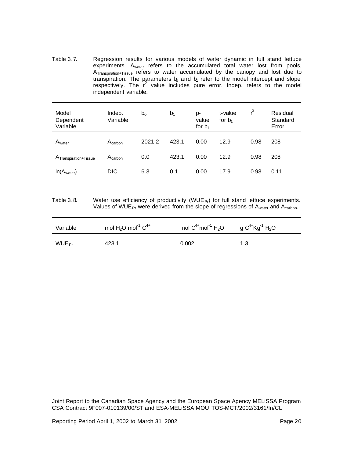Table 3.7. Regression results for various models of water dynamic in full stand lettuce experiments. A<sub>water</sub> refers to the accumulated total water lost from pools, A<sub>Transpiration+Tissue</sub> refers to water accumulated by the canopy and lost due to transpiration. The parameters  $b_0$  and  $b_1$  refer to the model intercept and slope respectively. The  $r^2$  value includes pure error. Indep. refers to the model independent variable.

| Model<br>Dependent<br>Variable    | Indep.<br>Variable  | $b_0$  | $b_1$ | p-<br>value<br>for $b_1$ | t-value<br>for $b_1$ | $r^2$ | Residual<br>Standard<br>Error |
|-----------------------------------|---------------------|--------|-------|--------------------------|----------------------|-------|-------------------------------|
| A <sub>water</sub>                | A <sub>carbon</sub> | 2021.2 | 423.1 | 0.00                     | 12.9                 | 0.98  | 208                           |
| A <sub>Transpiration+Tissue</sub> | A <sub>carbon</sub> | 0.0    | 423.1 | 0.00                     | 12.9                 | 0.98  | 208                           |
| In(A <sub>water</sub> )           | <b>DIC</b>          | 6.3    | 0.1   | 0.00                     | 17.9                 | 0.98  | 0.11                          |

## Table 3.8. Water use efficiency of productivity (WUE $_{\rm Pr}$ ) for full stand lettuce experiments. Values of WUE<sub>Pr</sub> were derived from the slope of regressions of  $A<sub>water</sub>$  and  $A<sub>carbon</sub>$ .

| Variable          | mol H <sub>2</sub> O mol <sup>-1</sup> C <sup>4+</sup> | mol $C^{4+}$ mol <sup>-1</sup> H <sub>2</sub> O | g C <sup>4+</sup> Kg <sup>-1</sup> H <sub>2</sub> O |
|-------------------|--------------------------------------------------------|-------------------------------------------------|-----------------------------------------------------|
| WUE <sub>Pr</sub> | 423.1                                                  | 0.002                                           | 1.3                                                 |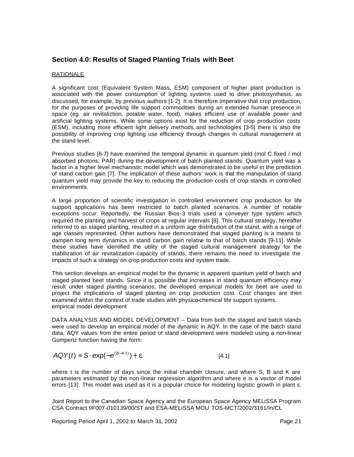# **Section 4.0: Results of Staged Planting Trials with Beet**

# RATIONALE

A significant cost (Equivalent System Mass, ESM) component of higher plant production is associated with the power consumption of lighting systems used to drive photosynthesis, as discussed, for example, by previous authors [1-2]. It is therefore imperative that crop production, for the purposes of providing life support commodities during an extended human presence in space (eg. air revitaliztion, potable water, food), makes efficient use of available power and artificial lighting systems. While some options exist for the reduction of crop production costs (ESM), including more efficient light delivery methods and technologies [3-5] there is also the possibility of improving crop lighting use efficiency through changes in cultural management at the stand level.

Previous studies [6-7] have examined the temporal dynamic in quantum yield (mol C fixed / mol absorbed photons, PAR) during the development of batch planted stands. Quantum yield was a factor in a higher level mechanistic model which was demonstrated to be useful in the prediction of stand carbon gain [7]. The implication of these authors' work is that the manipulation of stand quantum yield may provide the key to reducing the production costs of crop stands in controlled environments.

A large proportion of scientific investigation in controlled environment crop production for life support applications has been restricted to batch planted scenarios. A number of notable exceptions occur. Reportedly, the Russian Bios-3 trials used a conveyer type system which required the planting and harvest of crops at regular intervals [8]. This cultural strategy, hereafter referred to as staged planting, resulted in a uniform age distribution of the stand, with a range of age classes represented. Other authors have demonstrated that staged planting is a means to dampen long term dynamics in stand carbon gain relative to that of batch stands [9-11]. While these studies have identified the utility of the staged cultural management strategy for the stabilization of air revitalization capacity of stands, there remains the need to investigate the impacts of such a strategy on crop production costs and system trade.

This section develops an empirical model for the dynamic in apparent quantum yield of batch and staged planted beet stands. Since it is possible that increases in stand quantum efficiency may result under staged planting scenarios, the developed empirical models for beet are used to project the implications of staged planting on crop production cost. Cost changes are then examined within the context of trade studies with physico-chemical life support systems. empirical model development

DATA ANALYSIS AND MODEL DEVELOPMENT – Data from both the staged and batch stands were used to develop an empirical model of the dynamic in AQY. In the case of the batch stand data, AQY values from the entire period of stand development were modeled using a non-linear Gompertz function having the form:

$$
AQY(t) = S \cdot exp(-e^{(B-Kt)}) + e
$$
 [4.1]

where t is the number of days since the initial chamber closure, and where S, B and K are parameters estimated by the non-linear regression algorithm and where e is a vector of model errors [13]. This model was used as it is a popular choice for modeling logistic growth in plant s.

Joint Report to the Canadian Space Agency and the European Space Agency MELiSSA Program CSA Contract 9F007-010139/00/ST and ESA-MELiSSA MOU TOS-MCT/2002/3161/In/CL

Reporting Period April 1, 2002 to March 31, 2002 Page 21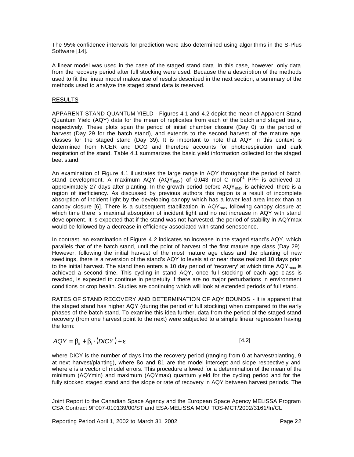The 95% confidence intervals for prediction were also determined using algorithms in the S-Plus Software [14].

A linear model was used in the case of the staged stand data. In this case, however, only data from the recovery period after full stocking were used. Because the a description of the methods used to fit the linear model makes use of results described in the next section, a summary of the methods used to analyze the staged stand data is reserved.

### RESULTS

APPARENT STAND QUANTUM YIELD - Figures 4.1 and 4.2 depict the mean of Apparent Stand Quantum Yield (AQY) data for the mean of replicates from each of the batch and staged trials, respectively. These plots span the period of initial chamber closure (Day 0) to the period of harvest (Day 29 for the batch stand), and extends to the second harvest of the mature age classes for the staged stand (Day 39). It is important to note that AQY in this context is determined from NCER and DCG and therefore accounts for photorespiration and dark respiration of the stand. Table 4.1 summarizes the basic yield information collected for the staged beet stand.

An examination of Figure 4.1 illustrates the large range in AQY throughout the period of batch stand development. A maximum AQY (AQY $_{\sf max}^{\checkmark}$ ) of 0.043 mol C mol<sup>-1</sup> PPF is achieved at approximately 27 days after planting. In the growth period before  $AQY_{max}$  is achieved, there is a region of inefficiency. As discussed by previous authors this region is a result of incomplete absorption of incident light by the developing canopy which has a lower leaf area index than at canopy closure [6]. There is a subsequent stabilization in  $AQY_{max}$  following canopy closure at which time there is maximal absorption of incident light and no net increase in AQY with stand development. It is expected that if the stand was not harvested, the period of stability in AQYmax would be followed by a decrease in efficiency associated with stand senescence.

In contrast, an examination of Figure 4.2 indicates an increase in the staged stand's AQY, which parallels that of the batch stand, until the point of harvest of the first mature age class (Day 29). However, following the initial harvest of the most mature age class and the planting of new seedlings, there is a reversion of the stand's AQY to levels at or near those realized 10 days prior to the initial harvest. The stand then enters a 10 day period of 'recovery' at which time  $AQY_{max}$  is achieved a second time. This cycling in stand AQY, once full stocking of each age class is reached, is expected to continue in perpetuity if there are no major perturbations in environment conditions or crop health. Studies are continuing which will look at extended periods of full stand.

RATES OF STAND RECOVERY AND DETERMINATION OF AQY BOUNDS - It is apparent that the staged stand has higher AQY (during the period of full stocking) when compared to the early phases of the batch stand. To examine this idea further, data from the period of the staged stand recovery (from one harvest point to the next) were subjected to a simple linear regression having the form:

$$
AQY = \boldsymbol{b}_0 + \boldsymbol{b}_1 \cdot (DICY) + \boldsymbol{e}
$$

[4.2]

where DICY is the number of days into the recovery period (ranging from 0 at harvest/planting, 9 at next harvest/planting), where ßo and ß1 are the model intercept and slope respectively and where e is a vector of model errors. This procedure allowed for a determination of the mean of the minimum (AQYmin) and maximum (AQYmax) quantum yield for the cycling period and for the fully stocked staged stand and the slope or rate of recovery in AQY between harvest periods. The

Joint Report to the Canadian Space Agency and the European Space Agency MELiSSA Program CSA Contract 9F007-010139/00/ST and ESA-MELiSSA MOU TOS-MCT/2002/3161/In/CL

Reporting Period April 1, 2002 to March 31, 2002 **Page 22** Page 22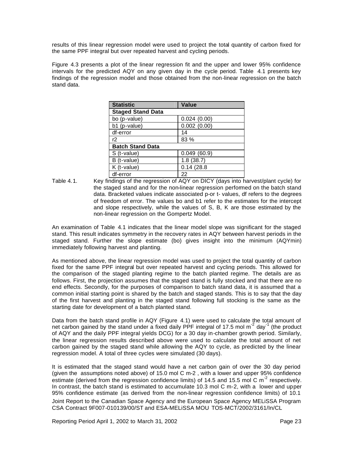results of this linear regression model were used to project the total quantity of carbon fixed for the same PPF integral but over repeated harvest and cycling periods.

Figure 4.3 presents a plot of the linear regression fit and the upper and lower 95% confidence intervals for the predicted AQY on any given day in the cycle period. Table 4.1 presents key findings of the regression model and those obtained from the non-linear regression on the batch stand data.

| <b>Statistic</b>         | <b>Value</b> |
|--------------------------|--------------|
| <b>Staged Stand Data</b> |              |
| bo (p-value)             | 0.024(0.00)  |
| b1 (p-value)             | 0.002(0.00)  |
| df-error                 | 14           |
| r2                       | 83 %         |
| <b>Batch Stand Data</b>  |              |
| S (t-value)              | 0.049(60.9)  |
| B (t-value)              | 1.8(38.7)    |
| K (t-value)              | 0.14(28.8)   |
| df-error                 | 22           |

Table 4.1. Key findings of the regression of AQY on DICY (days into harvest/plant cycle) for the staged stand and for the non-linear regression performed on the batch stand data. Bracketed values indicate associated p-or t- values, df refers to the degrees of freedom of error. The values bo and b1 refer to the estimates for the intercept and slope respectively, while the values of S, B, K are those estimated by the non-linear regression on the Gompertz Model.

An examination of Table 4.1 indicates that the linear model slope was significant for the staged stand. This result indicates symmetry in the recovery rates in AQY between harvest periods in the staged stand. Further the slope estimate (bo) gives insight into the minimum (AQYmin) immediately following harvest and planting.

As mentioned above, the linear regression model was used to project the total quantity of carbon fixed for the same PPF integral but over repeated harvest and cycling periods. This allowed for the comparison of the staged planting regime to the batch planted regime. The details are as follows. First, the projection assumes that the staged stand is fully stocked and that there are no end effects. Secondly, for the purposes of comparison to batch stand data, it is assumed that a common initial starting point is shared by the batch and staged stands. This is to say that the day of the first harvest and planting in the staged stand following full stocking is the same as the starting date for development of a batch planted stand.

Data from the batch stand profile in AQY (Figure 4.1) were used to calculate the total amount of net carbon gained by the stand under a fixed daily PPF integral of 17.5 mol m<sup>-2</sup> day<sup>-1</sup> (the product of AQY and the daily PPF integral yields DCG) for a 30 day in-chamber growth period. Similarly, the linear regression results described above were used to calculate the total amount of net carbon gained by the staged stand while allowing the AQY to cycle, as predicted by the linear regression model. A total of three cycles were simulated (30 days).

Joint Report to the Canadian Space Agency and the European Space Agency MELiSSA Program CSA Contract 9F007-010139/00/ST and ESA-MELiSSA MOU TOS-MCT/2002/3161/In/CL It is estimated that the staged stand would have a net carbon gain of over the 30 day period (given the assumptions noted above) of 15.0 mol C m-2 , with a lower and upper 95% confidence estimate (derived from the regression confidence limits) of 14.5 and 15.5 mol C  $m^2$  respectively. In contrast, the batch stand is estimated to accumulate 10.3 mol C m-2, with a lower and upper 95% confidence estimate (as derived from the non-linear regression confidence limits) of 10.1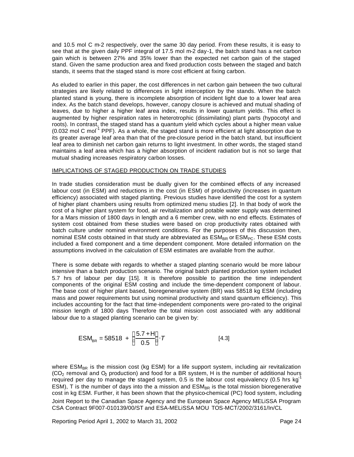and 10.5 mol C m-2 respectively, over the same 30 day period. From these results, it is easy to see that at the given daily PPF integral of 17.5 mol m-2 day-1, the batch stand has a net carbon gain which is between 27% and 35% lower than the expected net carbon gain of the staged stand. Given the same production area and fixed production costs between the staged and batch stands, it seems that the staged stand is more cost efficient at fixing carbon.

As eluded to earlier in this paper, the cost differences in net carbon gain between the two cultural strategies are likely related to differences in light interception by the stands. When the batch planted stand is young, there is incomplete absorption of incident light due to a lower leaf area index. As the batch stand develops, however, canopy closure is achieved and mutual shading of leaves, due to higher a higher leaf area index, results in lower quantum yields. This effect is augmented by higher respiration rates in heterotrophic (dissimilating) plant parts (hypocotyl and roots). In contrast, the staged stand has a quantum yield which cycles about a higher mean value  $(0.032 \text{ mol C mol}^3$  PPF). As a whole, the staged stand is more efficient at light absorption due to its greater average leaf area than that of the pre-closure period in the batch stand, but insufficient leaf area to diminish net carbon gain returns to light investment. In other words, the staged stand maintains a leaf area which has a higher absorption of incident radiation but is not so large that mutual shading increases respiratory carbon losses.

## IMPLICATIONS OF STAGED PRODUCTION ON TRADE STUDIES

In trade studies consideration must be dually given for the combined effects of any increased labour cost (in ESM) and reductions in the cost (in ESM) of productivity (increases in quantum efficiency) associated with staged planting. Previous studies have identified the cost for a system of higher plant chambers using results from optimized menu studies [2]. In that body of work the cost of a higher plant system for food, air revitalization and potable water supply was determined for a Mars mission of 1800 days in length and a 6 member crew, with no end effects. Estimates of system cost obtained from these studies were based on crop productivity rates obtained with batch culture under nominal environment conditions. For the purposes of this discussion then, nominal ESM costs obtained in that study are abbreviated as  $ESM_{BR}$  or  $ESM_{PC}$ . These ESM costs included a fixed component and a time dependent component. More detailed information on the assumptions involved in the calculation of ESM estimates are available from the author.

There is some debate with regards to whether a staged planting scenario would be more labour intensive than a batch production scenario. The original batch planted production system included 5.7 hrs of labour per day [15]. It is therefore possible to partition the time independent components of the original ESM costing and include the time-dependent component of labour. The base cost of higher plant based, bioregenerative system (BR) was 58518 kg ESM (including mass and power requirements but using nominal productivity and stand quantum efficiency). This includes accounting for the fact that time-independent components were pro-rated to the original mission length of 1800 days Therefore the total mission cost associated with any additional labour due to a staged planting scenario can be given by:

$$
ESM_{BR} = 58518 + \left(\frac{5.7 + H}{0.5}\right) \cdot T
$$
 [4.3]

Joint Report to the Canadian Space Agency and the European Space Agency MELiSSA Program CSA Contract 9F007-010139/00/ST and ESA-MELiSSA MOU TOS-MCT/2002/3161/In/CL where  $ESM_{BR}$  is the mission cost (kg ESM) for a life support system, including air revitalization  $(CO<sub>2</sub>$  removal and  $O<sub>2</sub>$  production) and food for a BR system, H is the number of additional hours required per day to manage the staged system, 0.5 is the labour cost equivalency (0.5 hrs  $kg<sup>-1</sup>$ ESM), T is the number of days into the a mission and  $ESM_{BR}$  is the total mission bioregenerative cost in kg ESM. Further, it has been shown that the physico-chemical (PC) food system, including

Reporting Period April 1, 2002 to March 31, 2002 Page 24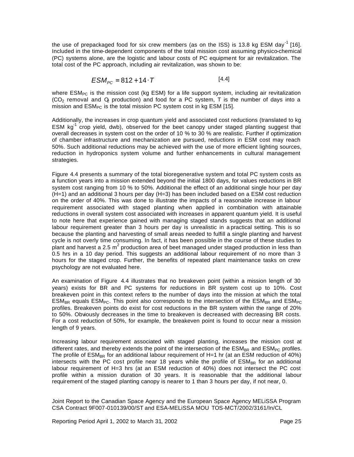the use of prepackaged food for six crew members (as on the ISS) is 13.8 kg ESM day<sup>-1</sup> [16]. Included in the time-dependent components of the total mission cost assuming physico-chemical (PC) systems alone, are the logistic and labour costs of PC equipment for air revitalization. The total cost of the PC approach, including air revitalization, was shown to be:

$$
ESM_{PC} = 812 + 14 \cdot T \tag{4.4}
$$

where  $ESM<sub>PC</sub>$  is the mission cost (kg ESM) for a life support system, including air revitalization  $(CO<sub>2</sub>$  removal and  $Q<sub>2</sub>$  production) and food for a PC system, T is the number of days into a mission and  $ESM<sub>PC</sub>$  is the total mission PC system cost in kg ESM [15].

Additionally, the increases in crop quantum yield and associated cost reductions (translated to kg ESM  $kg<sup>-1</sup>$  crop yield, dwb), observed for the beet canopy under staged planting suggest that overall decreases in system cost on the order of 10 % to 30 % are realistic. Further if optimization of chamber infrastructure and mechanization are pursued, reductions in ESM cost may reach 50%. Such additional reductions may be achieved with the use of more efficient lighting sources, reduction in hydroponics system volume and further enhancements in cultural management strategies.

Figure 4.4 presents a summary of the total bioregenerative system and total PC system costs as a function years into a mission extended beyond the initial 1800 days, for values reductions in BR system cost ranging from 10 % to 50%. Additional the effect of an additional single hour per day (H=1) and an additional 3 hours per day (H=3) has been included based on a ESM cost reduction on the order of 40%. This was done to illustrate the impacts of a reasonable increase in labour requirement associated with staged planting when applied in combination with attainable reductions in overall system cost associated with increases in apparent quantum yield. It is useful to note here that experience gained with managing staged stands suggests that an additional labour requirement greater than 3 hours per day is unrealistic in a practical setting. This is so because the planting and harvesting of small areas needed to fulfill a single planting and harvest cycle is not overly time consuming. In fact, it has been possible in the course of these studies to plant and harvest a 2.5  $m^2$  production area of beet managed under staged production in less than 0.5 hrs in a 10 day period. This suggests an additional labour requirement of no more than 3 hours for the staged crop. Further, the benefits of repeated plant maintenance tasks on crew psychology are not evaluated here.

An examination of Figure 4.4 illustrates that no breakeven point (within a mission length of 30 years) exists for BR and PC systems for reductions in BR system cost up to 10%. Cost breakeven point in this context refers to the number of days into the mission at which the total ESM<sub>BR</sub> equals ESM<sub>PC</sub>. This point also corresponds to the intersection of the ESM<sub>BR</sub> and ESM<sub>PC</sub> profiles. Breakeven points do exist for cost reductions in the BR system within the range of 20% to 50%. Obviously decreases in the time to breakeven is decreased with decreasing BR costs. For a cost reduction of 50%, for example, the breakeven point is found to occur near a mission length of 9 years.

Increasing labour requirement associated with staged planting, increases the mission cost at different rates, and thereby extends the point of the intersection of the  $ESM_{BR}$  and  $ESM_{PC}$  profiles. The profile of ESM<sub>BR</sub> for an additional labour requirement of H=1 hr (at an ESM reduction of 40%) intersects with the PC cost profile near 18 years while the profile of  $ESM_{BR}$  for an additional labour requirement of H=3 hrs (at an ESM reduction of 40%) does not intersect the PC cost profile within a mission duration of 30 years. It is reasonable that the additional labour requirement of the staged planting canopy is nearer to 1 than 3 hours per day, if not near, 0.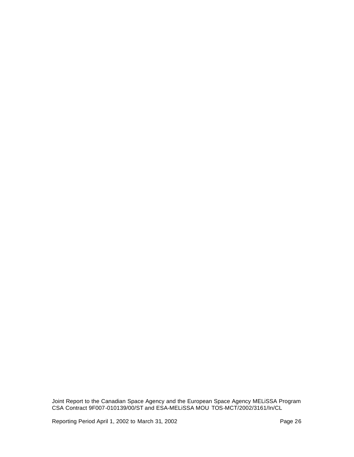Reporting Period April 1, 2002 to March 31, 2002 **Page 26** Page 26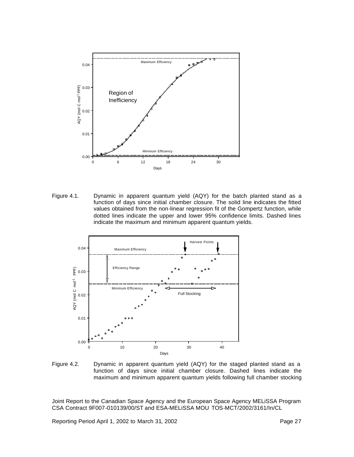

Figure 4.1. Dynamic in apparent quantum yield (AQY) for the batch planted stand as a function of days since initial chamber closure. The solid line indicates the fitted values obtained from the non-linear regression fit of the Gompertz function, while dotted lines indicate the upper and lower 95% confidence limits. Dashed lines indicate the maximum and minimum apparent quantum yields.



Figure 4.2. Dynamic in apparent quantum yield (AQY) for the staged planted stand as a function of days since initial chamber closure. Dashed lines indicate the maximum and minimum apparent quantum yields following full chamber stocking

Reporting Period April 1, 2002 to March 31, 2002 Page 27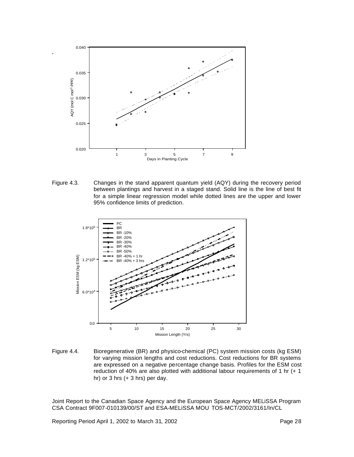

.

Figure 4.3. Changes in the stand apparent quantum yield (AQY) during the recovery period between plantings and harvest in a staged stand. Solid line is the line of best fit for a simple linear regression model while dotted lines are the upper and lower 95% confidence limits of prediction.



Figure 4.4. Bioregenerative (BR) and physico-chemical (PC) system mission costs (kg ESM) for varying mission lengths and cost reductions. Cost reductions for BR systems are expressed on a negative percentage change basis. Profiles for the ESM cost reduction of 40% are also plotted with additional labour requirements of 1 hr (+ 1 hr) or 3 hrs (+ 3 hrs) per day.

Joint Report to the Canadian Space Agency and the European Space Agency MELiSSA Program CSA Contract 9F007-010139/00/ST and ESA-MELiSSA MOU TOS-MCT/2002/3161/In/CL

Reporting Period April 1, 2002 to March 31, 2002 **Page 28** Page 28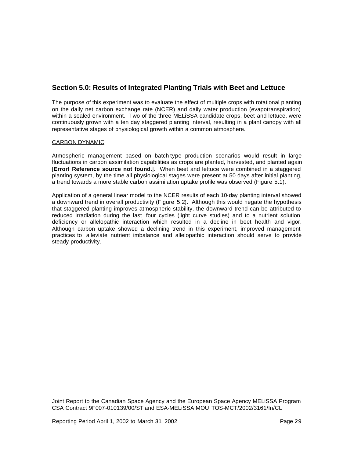# **Section 5.0: Results of Integrated Planting Trials with Beet and Lettuce**

The purpose of this experiment was to evaluate the effect of multiple crops with rotational planting on the daily net carbon exchange rate (NCER) and daily water production (evapotranspiration) within a sealed environment. Two of the three MELiSSA candidate crops, beet and lettuce, were continuously grown with a ten day staggered planting interval, resulting in a plant canopy with all representative stages of physiological growth within a common atmosphere.

# CARBON DYNAMIC

Atmospheric management based on batch-type production scenarios would result in large fluctuations in carbon assimilation capabilities as crops are planted, harvested, and planted again [**Error! Reference source not found.**]. When beet and lettuce were combined in a staggered planting system, by the time all physiological stages were present at 50 days after initial planting, a trend towards a more stable carbon assimilation uptake profile was observed (Figure 5.1).

Application of a general linear model to the NCER results of each 10-day planting interval showed a downward trend in overall productivity (Figure 5.2). Although this would negate the hypothesis that staggered planting improves atmospheric stability, the downward trend can be attributed to reduced irradiation during the last four cycles (light curve studies) and to a nutrient solution deficiency or allelopathic interaction which resulted in a decline in beet health and vigor. Although carbon uptake showed a declining trend in this experiment, improved management practices to alleviate nutrient imbalance and allelopathic interaction should serve to provide steady productivity.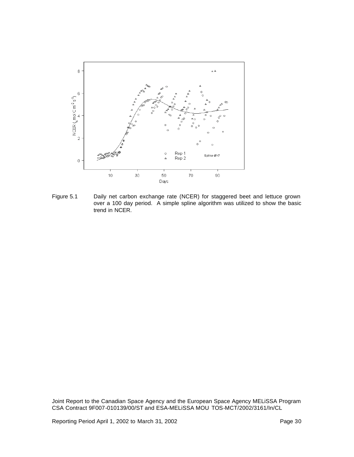

Figure 5.1 Daily net carbon exchange rate (NCER) for staggered beet and lettuce grown over a 100 day period. A simple spline algorithm was utilized to show the basic trend in NCER.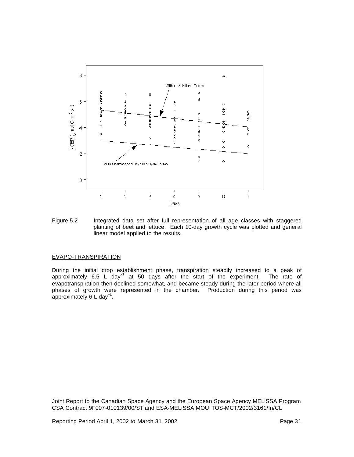

Figure 5.2 Integrated data set after full representation of all age classes with staggered planting of beet and lettuce. Each 10-day growth cycle was plotted and general linear model applied to the results.

# EVAPO-TRANSPIRATION

During the initial crop establishment phase, transpiration steadily increased to a peak of approximately 6.5 L day<sup>-1</sup> at 50 days after the start of the experiment. The rate of evapotranspiration then declined somewhat, and became steady during the later period where all phases of growth were represented in the chamber. Production during this period was .<br>approximately 6 L day<sup>-1</sup>.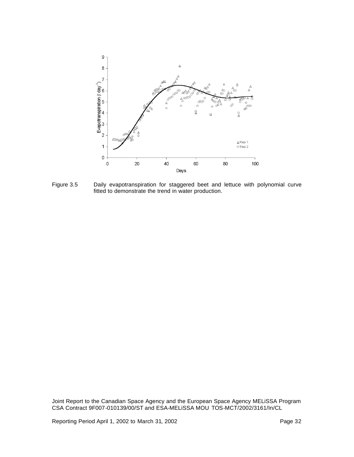

Figure 3.5 Daily evapotranspiration for staggered beet and lettuce with polynomial curve fitted to demonstrate the trend in water production.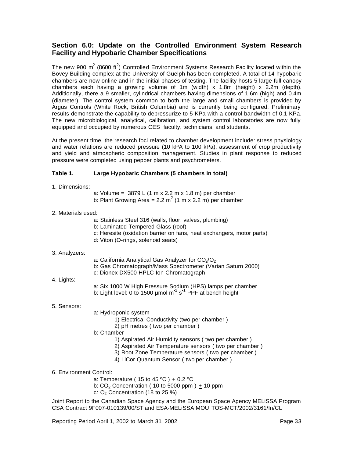# **Section 6.0: Update on the Controlled Environment System Research Facility and Hypobaric Chamber Specifications**

The new 900 m<sup>2</sup> (8600 ft<sup>2</sup>) Controlled Environment Systems Research Facility located within the Bovey Building complex at the University of Guelph has been completed. A total of 14 hypobaric chambers are now online and in the initial phases of testing. The facility hosts 5 large full canopy chambers each having a growing volume of 1m (width)  $x$  1.8m (height)  $x$  2.2m (depth). Additionally, there a 9 smaller, cylindrical chambers having dimensions of 1.6m (high) and 0.4m (diameter). The control system common to both the large and small chambers is provided by Argus Controls (White Rock, British Columbia) and is currently being configured. Preliminary results demonstrate the capability to depressurize to 5 KPa with a control bandwidth of 0.1 KPa. The new microbiological, analytical, calibration, and system control laboratories are now fully equipped and occupied by numerous CES faculty, technicians, and students.

At the present time, the research foci related to chamber development include: stress physiology and water relations are reduced pressure (10 kPA to 100 kPa), assessment of crop productivity and yield and atmospheric composition management. Studies in plant response to reduced pressure were completed using pepper plants and psychrometers.

# **Table 1. Large Hypobaric Chambers (5 chambers in total)**

- 1. Dimensions:
- a: Volume = 3879 L (1 m x 2.2 m x 1.8 m) per chamber
- b: Plant Growing Area = 2.2 m<sup>2</sup> (1 m x 2.2 m) per chamber
- 2. Materials used:
	- a: Stainless Steel 316 (walls, floor, valves, plumbing)
	- b: Laminated Tempered Glass (roof)
	- c: Heresite (oxidation barrier on fans, heat exchangers, motor parts)
	- d: Viton (O-rings, solenoid seats)

#### 3. Analyzers:

- a: California Analytical Gas Analyzer for  $CO<sub>2</sub>/O<sub>2</sub>$
- b: Gas Chromatograph/Mass Spectrometer (Varian Saturn 2000)
- c: Dionex DX500 HPLC Ion Chromatograph

#### 4. Lights:

- a: Six 1000 W High Pressure Sodium (HPS) lamps per chamber
- b: Light level: 0 to 1500 µmol m $^{\text{-2}}$  s $^{\text{-1}}$  PPF at bench  $\overline{\text{height}}$

#### 5. Sensors:

- a: Hydroponic system
	- 1) Electrical Conductivity (two per chamber )
	- 2) pH metres ( two per chamber )
- b: Chamber
	- 1) Aspirated Air Humidity sensors ( two per chamber )
	- 2) Aspirated Air Temperature sensors ( two per chamber )
	- 3) Root Zone Temperature sensors ( two per chamber )
	- 4) LiCor Quantum Sensor ( two per chamber )
- 6. Environment Control:
	- a: Temperature ( 15 to 45 °C ) + 0.2 °C
	- b:  $CO<sub>2</sub>$  Concentration (10 to 5000 ppm) + 10 ppm
	- c:  $O<sub>2</sub>$  Concentration (18 to 25 %)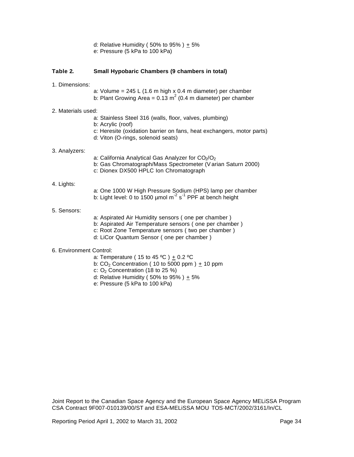- d: Relative Humidity (50% to 95%)  $\pm$  5%
- e: Pressure (5 kPa to 100 kPa)

# **Table 2. Small Hypobaric Chambers (9 chambers in total)**

- 1. Dimensions:
- a: Volume =  $245$  L (1.6 m high x 0.4 m diameter) per chamber
- b: Plant Growing Area =  $0.13 \text{ m}^2$  (0.4 m diameter) per chamber

#### 2. Materials used:

- a: Stainless Steel 316 (walls, floor, valves, plumbing)
- b: Acrylic (roof)
- c: Heresite (oxidation barrier on fans, heat exchangers, motor parts)
- d: Viton (O-rings, solenoid seats)

#### 3. Analyzers:

- a: California Analytical Gas Analyzer for  $CO<sub>2</sub>/O<sub>2</sub>$
- b: Gas Chromatograph/Mass Spectrometer (Varian Saturn 2000)
- c: Dionex DX500 HPLC Ion Chromatograph

#### 4. Lights:

- a: One 1000 W High Pressure Sodium (HPS) lamp per chamber
- b: Light level: 0 to 1500 µmol m<sup>-2</sup> s<sup>-1</sup> PPF at bench height

#### 5. Sensors:

- a: Aspirated Air Humidity sensors ( one per chamber )
- b: Aspirated Air Temperature sensors ( one per chamber )
- c: Root Zone Temperature sensors ( two per chamber )
- d: LiCor Quantum Sensor ( one per chamber )

## 6. Environment Control:

- a: Temperature ( 15 to 45  $^{\circ}$ C ) + 0.2  $^{\circ}$ C
- b:  $CO<sub>2</sub>$  Concentration (10 to 5000 ppm) + 10 ppm
- c:  $O<sub>2</sub>$  Concentration (18 to 25 %)
- d: Relative Humidity ( $50\%$  to  $95\%$ ) +  $5\%$
- e: Pressure (5 kPa to 100 kPa)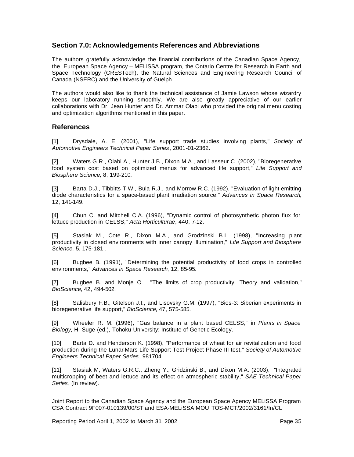# **Section 7.0: Acknowledgements References and Abbreviations**

The authors gratefully acknowledge the financial contributions of the Canadian Space Agency, the European Space Agency – MELiSSA program, the Ontario Centre for Research in Earth and Space Technology (CRESTech), the Natural Sciences and Engineering Research Council of Canada (NSERC) and the University of Guelph.

The authors would also like to thank the technical assistance of Jamie Lawson whose wizardry keeps our laboratory running smoothly. We are also greatly appreciative of our earlier collaborations with Dr. Jean Hunter and Dr. Ammar Olabi who provided the original menu costing and optimization algorithms mentioned in this paper.

# **References**

[1] Drysdale, A. E. (2001), "Life support trade studies involving plants," *Society of Automotive Engineers Technical Paper Series*, 2001-01-2362.

[2] Waters G.R., Olabi A., Hunter J.B., Dixon M.A., and Lasseur C. (2002), "Bioregenerative food system cost based on optimized menus for advanced life support," *Life Support and Biosphere Science*, 8, 199-210.

[3] Barta D.J., Tibbitts T.W., Bula R.J., and Morrow R.C. (1992), "Evaluation of light emitting diode characteristics for a space-based plant irradiation source," *Advances in Space Research*, 12, 141-149.

[4] Chun C. and Mitchell C.A. (1996), "Dynamic control of photosynthetic photon flux for lettuce production in CELSS," *Acta Horticulturae*, 440, 7-12.

[5] Stasiak M., Cote R., Dixon M.A., and Grodzinski B.L. (1998), "Increasing plant productivity in closed environments with inner canopy illumination," *Life Support and Biosphere Science,* 5, 175-181 .

[6] Bugbee B. (1991), "Determining the potential productivity of food crops in controlled environments," *Advances in Space Research*, 12, 85-95.

[7] Bugbee B. and Monje O. "The limits of crop productivity: Theory and validation," *BioScience*, 42, 494-502.

[8] Salisbury F.B., Gitelson J.I., and Lisovsky G.M. (1997), "Bios-3: Siberian experiments in bioregenerative life support," *BioScience*, 47, 575-585.

[9] Wheeler R. M. (1996), "Gas balance in a plant based CELSS," in *Plants in Space Biology*, H. Suge (ed.), Tohoku University: Institute of Genetic Ecology.

[10] Barta D. and Henderson K. (1998), "Performance of wheat for air revitalization and food production during the Lunar-Mars Life Support Test Project Phase III test," *Society of Automotive Engineers Technical Paper Series*, 981704.

[11] Stasiak M, Waters G.R.C., Zheng Y., Gridzinski B., and Dixon M.A. (2003), "Integrated multicropping of beet and lettuce and its effect on atmospheric stability," *SAE Technical Paper Series*, (In review).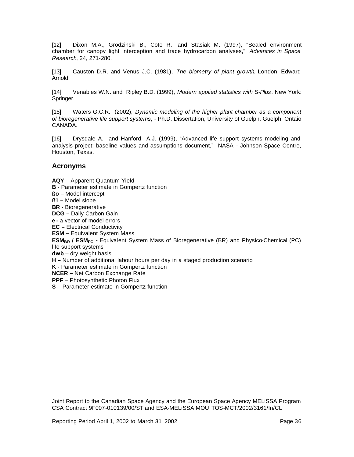[12] Dixon M.A., Grodzinski B., Cote R., and Stasiak M. (1997), "Sealed environment chamber for canopy light interception and trace hydrocarbon analyses," *Advances in Space Research*, 24, 271-280.

[13] Causton D.R. and Venus J.C. (1981), *The biometry of plant growth*, London: Edward Arnold.

[14] Venables W.N. and Ripley B.D. (1999), *Modern applied statistics with S-Plus*, New York: Springer.

[15] Waters G.C.R. (2002), *Dynamic modeling of the higher plant chamber as a component of bioregenerative life support systems*, - Ph.D. Dissertation, University of Guelph, Guelph, Ontaio CANADA.

[16] Drysdale A. and Hanford A.J. (1999), "Advanced life support systems modeling and analysis project: baseline values and assumptions document," NASA - Johnson Space Centre, Houston, Texas.

# **Acronyms**

**AQY –** Apparent Quantum Yield

- **B** Parameter estimate in Gompertz function
- **ßo –** Model intercept
- **ß1 –** Model slope

**BR -** Bioregenerative

**DCG –** Daily Carbon Gain

**e -** a vector of model errors

**EC –** Electrical Conductivity

**ESM –** Equivalent System Mass

**ESMBR / ESMPC -** Equivalent System Mass of Bioregenerative (BR) and Physico-Chemical (PC) life support systems

**dwb** – dry weight basis

**H –** Number of additional labour hours per day in a staged production scenario

**K** - Parameter estimate in Gompertz function

**NCER –** Net Carbon Exchange Rate

**PPF** – Photosynthetic Photon Flux

**S** – Parameter estimate in Gompertz function